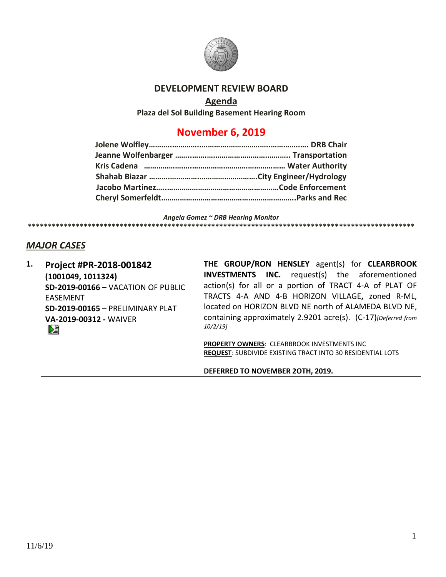

### **DEVELOPMENT REVIEW BOARD**

#### **Agenda**

**Plaza del Sol Building Basement Hearing Room**

# **November 6, 2019**

*Angela Gomez ~ DRB Hearing Monitor* **\*\*\*\*\*\*\*\*\*\*\*\*\*\*\*\*\*\*\*\*\*\*\*\*\*\*\*\*\*\*\*\*\*\*\*\*\*\*\*\*\*\*\*\*\*\*\*\*\*\*\*\*\*\*\*\*\*\*\*\*\*\*\*\*\*\*\*\*\*\*\*\*\*\*\*\*\*\*\*\*\*\*\*\*\*\*\*\*\*\*\*\*\*\*\*\*\***

## *MAJOR CASES*

**1. Project #PR-2018-001842 (1001049, 1011324) SD-2019-00166 –** VACATION OF PUBLIC EASEMENT **SD-2019-00165 –** PRELIMINARY PLAT **VA-2019-00312 -** WAIVER DÊ

**THE GROUP/RON HENSLEY** agent(s) for **CLEARBROOK INVESTMENTS INC.** request(s) the aforementioned action(s) for all or a portion of TRACT 4-A of PLAT OF TRACTS 4-A AND 4-B HORIZON VILLAGE**,** zoned R-ML, located on HORIZON BLVD NE north of ALAMEDA BLVD NE, containing approximately 2.9201 acre(s). (C-17)*[Deferred from 10/2/19]*

**PROPERTY OWNERS**: CLEARBROOK INVESTMENTS INC **REQUEST**: SUBDIVIDE EXISTING TRACT INTO 30 RESIDENTIAL LOTS

**DEFERRED TO NOVEMBER 2OTH, 2019.**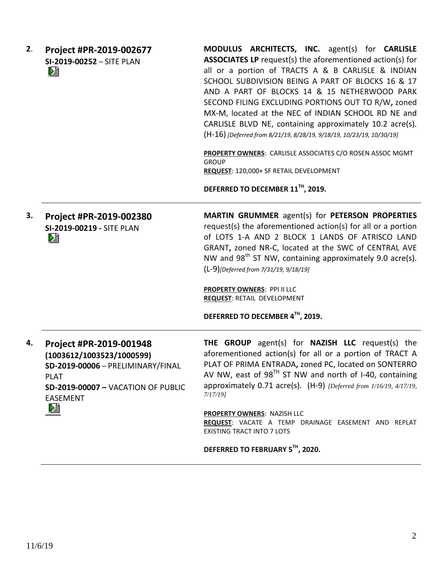| 2. | Project #PR-2019-002677<br>SI-2019-00252 - SITE PLAN<br>N                                                                                                                     | MODULUS ARCHITECTS, INC. agent(s) for CARLISLE<br><b>ASSOCIATES LP</b> request(s) the aforementioned action(s) for<br>all or a portion of TRACTS A & B CARLISLE & INDIAN<br>SCHOOL SUBDIVISION BEING A PART OF BLOCKS 16 & 17<br>AND A PART OF BLOCKS 14 & 15 NETHERWOOD PARK<br>SECOND FILING EXCLUDING PORTIONS OUT TO R/W, zoned<br>MX-M, located at the NEC of INDIAN SCHOOL RD NE and<br>CARLISLE BLVD NE, containing approximately 10.2 acre(s).<br>(H-16) [Deferred from 8/21/19, 8/28/19, 9/18/19, 10/23/19, 10/30/19]<br>PROPERTY OWNERS: CARLISLE ASSOCIATES C/O ROSEN ASSOC MGMT<br><b>GROUP</b><br>REQUEST: 120,000+ SF RETAIL DEVELOPMENT<br>DEFERRED TO DECEMBER 11 <sup>TH</sup> , 2019. |
|----|-------------------------------------------------------------------------------------------------------------------------------------------------------------------------------|---------------------------------------------------------------------------------------------------------------------------------------------------------------------------------------------------------------------------------------------------------------------------------------------------------------------------------------------------------------------------------------------------------------------------------------------------------------------------------------------------------------------------------------------------------------------------------------------------------------------------------------------------------------------------------------------------------|
| 3. | Project #PR-2019-002380<br>SI-2019-00219 - SITE PLAN<br>N                                                                                                                     | MARTIN GRUMMER agent(s) for PETERSON PROPERTIES<br>request(s) the aforementioned action(s) for all or a portion<br>of LOTS 1-A AND 2 BLOCK 1 LANDS OF ATRISCO LAND<br>GRANT, zoned NR-C, located at the SWC of CENTRAL AVE<br>NW and 98 <sup>th</sup> ST NW, containing approximately 9.0 acre(s).<br>(L-9)[Deferred from 7/31/19, 9/18/19]<br><b>PROPERTY OWNERS: PPI II LLC</b><br><b>REQUEST: RETAIL DEVELOPMENT</b><br>DEFERRED TO DECEMBER 4TH, 2019.                                                                                                                                                                                                                                              |
| 4. | Project #PR-2019-001948<br>(1003612/1003523/1000599)<br>SD-2019-00006 - PRELIMINARY/FINAL<br><b>PLAT</b><br><b>SD-2019-00007 - VACATION OF PUBLIC</b><br><b>EASEMENT</b><br>Ł | THE GROUP agent(s) for NAZISH LLC request(s) the<br>aforementioned action(s) for all or a portion of TRACT A<br>PLAT OF PRIMA ENTRADA, zoned PC, located on SONTERRO<br>AV NW, east of $98TH$ ST NW and north of I-40, containing<br>approximately 0.71 acre(s). (H-9) [Deferred from 1/16/19, 4/17/19,<br>$7/17/19$ ]<br>PROPERTY OWNERS: NAZISH LLC<br>REQUEST: VACATE A TEMP DRAINAGE EASEMENT AND REPLAT<br><b>EXISTING TRACT INTO 7 LOTS</b>                                                                                                                                                                                                                                                       |

**DEFERRED TO FEBRUARY 5TH, 2020.**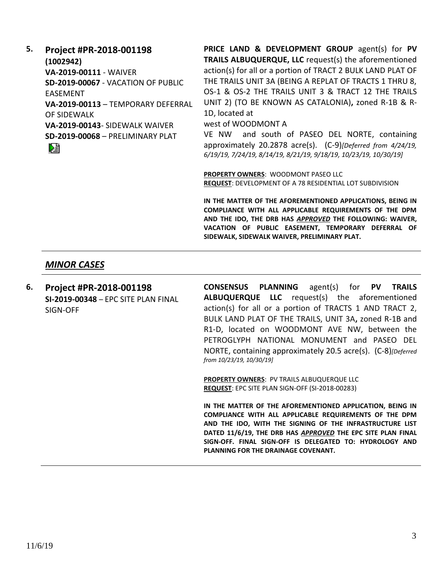**5. Project #PR-2018-001198**

**(1002942) VA-2019-00111** - WAIVER **SD-2019-00067** - VACATION OF PUBLIC EASEMENT **VA-2019-00113** – TEMPORARY DEFERRAL OF SIDEWALK **VA-2019-00143**- SIDEWALK WAIVER

**SD-2019-00068** – PRELIMINARY PLAT

DÊ

**PRICE LAND & DEVELOPMENT GROUP** agent(s) for **PV TRAILS ALBUQUERQUE, LLC** request(s) the aforementioned action(s) for all or a portion of TRACT 2 BULK LAND PLAT OF THE TRAILS UNIT 3A (BEING A REPLAT OF TRACTS 1 THRU 8, OS-1 & OS-2 THE TRAILS UNIT 3 & TRACT 12 THE TRAILS UNIT 2) (TO BE KNOWN AS CATALONIA)**,** zoned R-1B & R-1D, located at

west of WOODMONT A

VE NW and south of PASEO DEL NORTE, containing approximately 20.2878 acre(s). (C-9)*[Deferred from 4/24/19, 6/19/19, 7/24/19, 8/14/19, 8/21/19, 9/18/19, 10/23/19, 10/30/19]*

**PROPERTY OWNERS**: WOODMONT PASEO LLC **REQUEST**: DEVELOPMENT OF A 78 RESIDENTIAL LOT SUBDIVISION

**IN THE MATTER OF THE AFOREMENTIONED APPLICATIONS, BEING IN COMPLIANCE WITH ALL APPLICABLE REQUIREMENTS OF THE DPM AND THE IDO, THE DRB HAS** *APPROVED* **THE FOLLOWING: WAIVER, VACATION OF PUBLIC EASEMENT, TEMPORARY DEFERRAL OF SIDEWALK, SIDEWALK WAIVER, PRELIMINARY PLAT.**

### *MINOR CASES*

**6. Project #PR-2018-001198 SI-2019-00348** – EPC SITE PLAN FINAL SIGN-OFF

**CONSENSUS PLANNING** agent(s) for **PV TRAILS ALBUQUERQUE LLC** request(s) the aforementioned action(s) for all or a portion of TRACTS 1 AND TRACT 2, BULK LAND PLAT OF THE TRAILS, UNIT 3A**,** zoned R-1B and R1-D, located on WOODMONT AVE NW, between the PETROGLYPH NATIONAL MONUMENT and PASEO DEL NORTE, containing approximately 20.5 acre(s). (C-8)*[Deferred from 10/23/19, 10/30/19]*

**PROPERTY OWNERS**: PV TRAILS ALBUQUERQUE LLC **REQUEST**: EPC SITE PLAN SIGN-OFF (SI-2018-00283)

**IN THE MATTER OF THE AFOREMENTIONED APPLICATION, BEING IN COMPLIANCE WITH ALL APPLICABLE REQUIREMENTS OF THE DPM AND THE IDO, WITH THE SIGNING OF THE INFRASTRUCTURE LIST DATED 11/6/19, THE DRB HAS** *APPROVED* **THE EPC SITE PLAN FINAL SIGN-OFF. FINAL SIGN-OFF IS DELEGATED TO: HYDROLOGY AND PLANNING FOR THE DRAINAGE COVENANT.**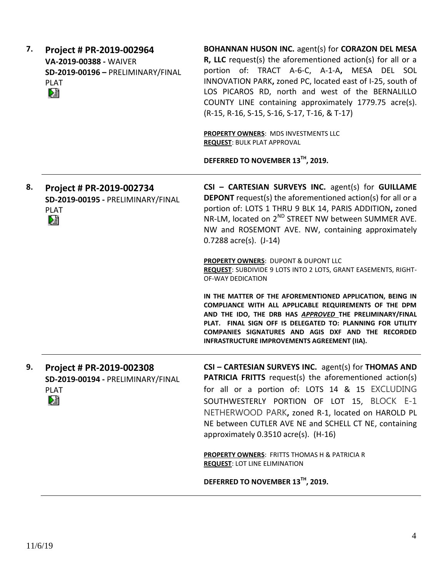| 7. | Project # PR-2019-002964<br>VA-2019-00388 - WAIVER<br>SD-2019-00196 - PRELIMINARY/FINAL<br><b>PLAT</b><br>塪 | BOHANNAN HUSON INC. agent(s) for CORAZON DEL MESA<br>R, LLC request(s) the aforementioned action(s) for all or a<br>portion of: TRACT A-6-C, A-1-A, MESA DEL SOL<br>INNOVATION PARK, zoned PC, located east of I-25, south of<br>LOS PICAROS RD, north and west of the BERNALILLO<br>COUNTY LINE containing approximately 1779.75 acre(s).<br>(R-15, R-16, S-15, S-16, S-17, T-16, & T-17)<br>PROPERTY OWNERS: MDS INVESTMENTS LLC<br><b>REQUEST: BULK PLAT APPROVAL</b><br>DEFERRED TO NOVEMBER 13TH, 2019. |
|----|-------------------------------------------------------------------------------------------------------------|--------------------------------------------------------------------------------------------------------------------------------------------------------------------------------------------------------------------------------------------------------------------------------------------------------------------------------------------------------------------------------------------------------------------------------------------------------------------------------------------------------------|
| 8. | Project # PR-2019-002734<br>SD-2019-00195 - PRELIMINARY/FINAL<br><b>PLAT</b><br>熖                           | CSI - CARTESIAN SURVEYS INC. agent(s) for GUILLAME<br><b>DEPONT</b> request(s) the aforementioned action(s) for all or a<br>portion of: LOTS 1 THRU 9 BLK 14, PARIS ADDITION, zoned<br>NR-LM, located on 2 <sup>ND</sup> STREET NW between SUMMER AVE.<br>NW and ROSEMONT AVE. NW, containing approximately<br>$0.7288$ acre(s). $(J-14)$                                                                                                                                                                    |
|    |                                                                                                             | PROPERTY OWNERS: DUPONT & DUPONT LLC<br>REQUEST: SUBDIVIDE 9 LOTS INTO 2 LOTS, GRANT EASEMENTS, RIGHT-<br>OF-WAY DEDICATION                                                                                                                                                                                                                                                                                                                                                                                  |
|    |                                                                                                             | IN THE MATTER OF THE AFOREMENTIONED APPLICATION, BEING IN<br>COMPLIANCE WITH ALL APPLICABLE REQUIREMENTS OF THE DPM<br>AND THE IDO, THE DRB HAS APPROVED THE PRELIMINARY/FINAL<br>PLAT. FINAL SIGN OFF IS DELEGATED TO: PLANNING FOR UTILITY<br>COMPANIES SIGNATURES AND AGIS DXF AND THE RECORDED<br>INFRASTRUCTURE IMPROVEMENTS AGREEMENT (IIA).                                                                                                                                                           |
| 9. | Project # PR-2019-002308<br>SD-2019-00194 - PRELIMINARY/FINAL<br><b>PLAT</b><br>熠                           | CSI - CARTESIAN SURVEYS INC. agent(s) for THOMAS AND<br><b>PATRICIA FRITTS</b> request(s) the aforementioned action(s)<br>for all or a portion of: LOTS 14 & 15 EXCLUDING<br>SOUTHWESTERLY PORTION OF LOT 15, BLOCK E-1<br>NETHERWOOD PARK, zoned R-1, located on HAROLD PL<br>NE between CUTLER AVE NE and SCHELL CT NE, containing<br>approximately 0.3510 acre(s). (H-16)                                                                                                                                 |
|    |                                                                                                             | <b>PROPERTY OWNERS: FRITTS THOMAS H &amp; PATRICIA R</b><br><b>REQUEST: LOT LINE ELIMINATION</b>                                                                                                                                                                                                                                                                                                                                                                                                             |
|    |                                                                                                             | DEFERRED TO NOVEMBER 13TH, 2019.                                                                                                                                                                                                                                                                                                                                                                                                                                                                             |